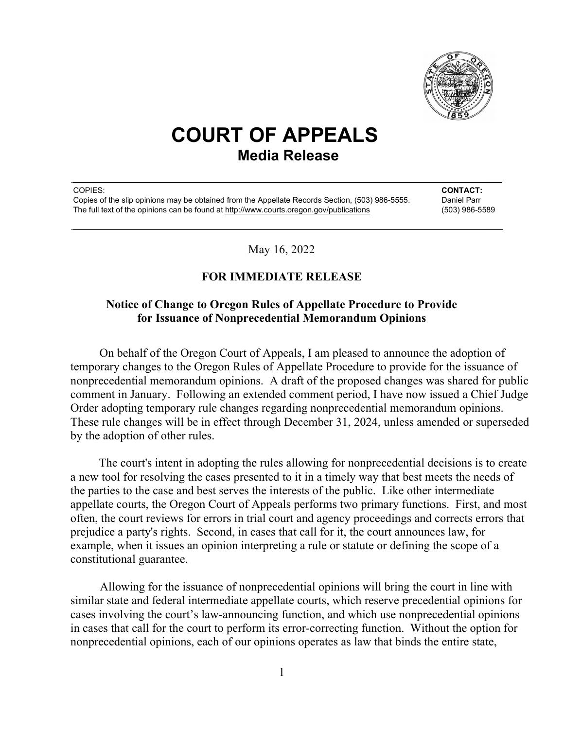

## **COURT OF APPEALS Media Release**

COPIES: **CONTACT:** Copies of the slip opinions may be obtained from the Appellate Records Section, (503) 986-5555. Daniel Parr The full text of the opinions can be found at http://www.courts.oregon.gov/publications (503) 986-5589

May 16, 2022

## **FOR IMMEDIATE RELEASE**

## **Notice of Change to Oregon Rules of Appellate Procedure to Provide for Issuance of Nonprecedential Memorandum Opinions**

On behalf of the Oregon Court of Appeals, I am pleased to announce the adoption of temporary changes to the Oregon Rules of Appellate Procedure to provide for the issuance of nonprecedential memorandum opinions. A draft of the proposed changes was shared for public comment in January. Following an extended comment period, I have now issued a Chief Judge Order adopting temporary rule changes regarding nonprecedential memorandum opinions. These rule changes will be in effect through December 31, 2024, unless amended or superseded by the adoption of other rules.

The court's intent in adopting the rules allowing for nonprecedential decisions is to create a new tool for resolving the cases presented to it in a timely way that best meets the needs of the parties to the case and best serves the interests of the public. Like other intermediate appellate courts, the Oregon Court of Appeals performs two primary functions. First, and most often, the court reviews for errors in trial court and agency proceedings and corrects errors that prejudice a party's rights. Second, in cases that call for it, the court announces law, for example, when it issues an opinion interpreting a rule or statute or defining the scope of a constitutional guarantee.

Allowing for the issuance of nonprecedential opinions will bring the court in line with similar state and federal intermediate appellate courts, which reserve precedential opinions for cases involving the court's law-announcing function, and which use nonprecedential opinions in cases that call for the court to perform its error-correcting function. Without the option for nonprecedential opinions, each of our opinions operates as law that binds the entire state,